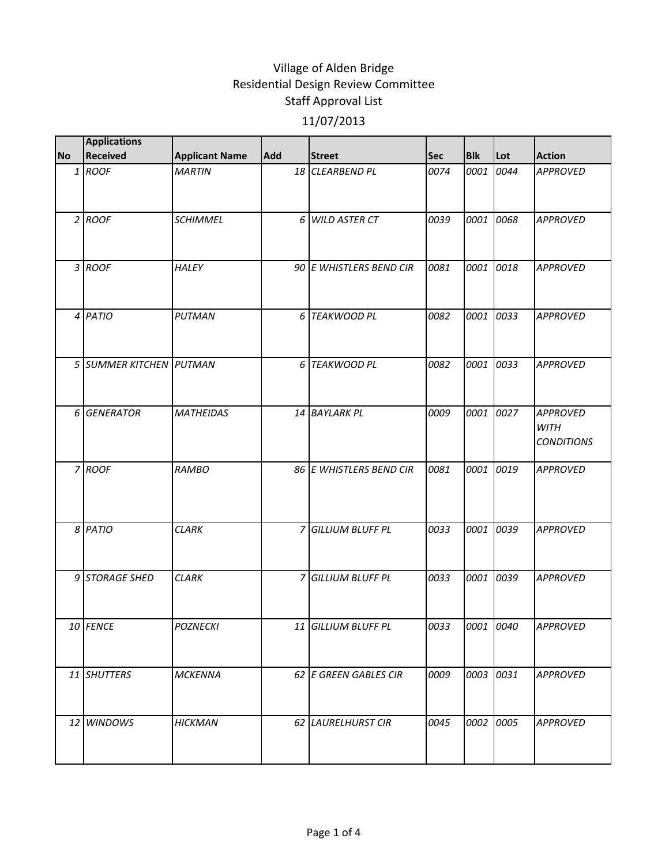| <b>No</b> | <b>Applications</b><br><b>Received</b> |                       | Add |                         | <b>Sec</b> | <b>Blk</b> | Lot  | <b>Action</b>                                       |
|-----------|----------------------------------------|-----------------------|-----|-------------------------|------------|------------|------|-----------------------------------------------------|
|           |                                        | <b>Applicant Name</b> |     | <b>Street</b>           |            |            |      |                                                     |
|           | $1$ ROOF                               | <b>MARTIN</b>         |     | 18 CLEARBEND PL         | 0074       | 0001       | 0044 | <b>APPROVED</b>                                     |
|           | $2$ ROOF                               | <b>SCHIMMEL</b>       | 6   | <b>WILD ASTER CT</b>    | 0039       | 0001       | 0068 | <b>APPROVED</b>                                     |
|           | 3 ROOF                                 | <b>HALEY</b>          |     | 90 E WHISTLERS BEND CIR | 0081       | 0001       | 0018 | <b>APPROVED</b>                                     |
|           | 4 PATIO                                | PUTMAN                | 6   | <b>TEAKWOOD PL</b>      | 0082       | 0001       | 0033 | <b>APPROVED</b>                                     |
|           | 5 SUMMER KITCHEN PUTMAN                |                       | 6   | <b>TEAKWOOD PL</b>      | 0082       | 0001       | 0033 | <b>APPROVED</b>                                     |
|           | 6 GENERATOR                            | <b>MATHEIDAS</b>      |     | 14 BAYLARK PL           | 0009       | 0001       | 0027 | <b>APPROVED</b><br><b>WITH</b><br><b>CONDITIONS</b> |
|           | 7 ROOF                                 | RAMBO                 |     | 86 E WHISTLERS BEND CIR | 0081       | 0001       | 0019 | <b>APPROVED</b>                                     |
|           | 8 PATIO                                | <b>CLARK</b>          |     | 7 GILLIUM BLUFF PL      | 0033       | 0001       | 0039 | <b>APPROVED</b>                                     |
|           | 9 STORAGE SHED                         | <b>CLARK</b>          | 7   | <b>GILLIUM BLUFF PL</b> | 0033       | 0001       | 0039 | <b>APPROVED</b>                                     |
|           | 10 FENCE                               | <b>POZNECKI</b>       |     | 11 GILLIUM BLUFF PL     | 0033       | 0001 0040  |      | <b>APPROVED</b>                                     |
|           | 11 SHUTTERS                            | <b>MCKENNA</b>        |     | 62 E GREEN GABLES CIR   | 0009       | 0003 0031  |      | <b>APPROVED</b>                                     |
|           | 12 WINDOWS                             | HICKMAN               |     | 62 LAURELHURST CIR      | 0045       | 0002       | 0005 | <b>APPROVED</b>                                     |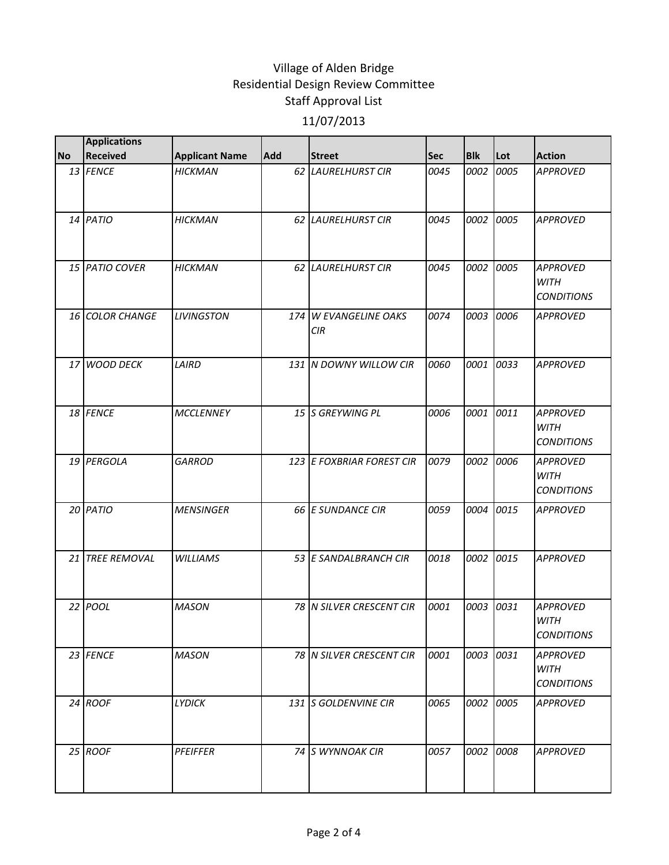|           | <b>Applications</b> |                       |            |                                        |            |            |      |                                                     |
|-----------|---------------------|-----------------------|------------|----------------------------------------|------------|------------|------|-----------------------------------------------------|
| <b>No</b> | Received            | <b>Applicant Name</b> | <b>Add</b> | <b>Street</b>                          | <b>Sec</b> | <b>Blk</b> | Lot  | <b>Action</b>                                       |
|           | 13 FENCE            | <b>HICKMAN</b>        |            | 62 LAURELHURST CIR                     | 0045       | 0002       | 0005 | <b>APPROVED</b>                                     |
|           | 14 PATIO            | <b>HICKMAN</b>        |            | 62 LAURELHURST CIR                     | 0045       | 0002       | 0005 | <b>APPROVED</b>                                     |
|           | 15 PATIO COVER      | <b>HICKMAN</b>        |            | 62 LAURELHURST CIR                     | 0045       | 0002       | 0005 | <b>APPROVED</b><br><b>WITH</b><br><b>CONDITIONS</b> |
|           | 16 COLOR CHANGE     | <b>LIVINGSTON</b>     | 174        | <b>W EVANGELINE OAKS</b><br><b>CIR</b> | 0074       | 0003       | 0006 | <b>APPROVED</b>                                     |
|           | 17 WOOD DECK        | LAIRD                 |            | 131 N DOWNY WILLOW CIR                 | 0060       | 0001       | 0033 | <b>APPROVED</b>                                     |
|           | 18 FENCE            | <b>MCCLENNEY</b>      |            | 15 S GREYWING PL                       | 0006       | 0001       | 0011 | <b>APPROVED</b><br><b>WITH</b><br><b>CONDITIONS</b> |
|           | 19 PERGOLA          | <b>GARROD</b>         |            | 123 E FOXBRIAR FOREST CIR              | 0079       | 0002       | 0006 | <b>APPROVED</b><br><b>WITH</b><br><b>CONDITIONS</b> |
|           | 20 PATIO            | <b>MENSINGER</b>      |            | 66 E SUNDANCE CIR                      | 0059       | 0004       | 0015 | <b>APPROVED</b>                                     |
|           | 21 TREE REMOVAL     | <b>WILLIAMS</b>       |            | 53 E SANDALBRANCH CIR                  | 0018       | 0002       | 0015 | <b>APPROVED</b>                                     |
|           | $22$ POOL           | <b>MASON</b>          |            | 78 N SILVER CRESCENT CIR               | 0001       | 0003       | 0031 | <b>APPROVED</b><br><b>WITH</b><br><b>CONDITIONS</b> |
|           | 23 FENCE            | <b>MASON</b>          |            | 78 N SILVER CRESCENT CIR               | 0001       | 0003       | 0031 | <b>APPROVED</b><br><b>WITH</b><br><b>CONDITIONS</b> |
|           | 24 ROOF             | <b>LYDICK</b>         |            | 131 S GOLDENVINE CIR                   | 0065       | 0002       | 0005 | <b>APPROVED</b>                                     |
|           | 25 ROOF             | <b>PFEIFFER</b>       |            | 74 S WYNNOAK CIR                       | 0057       | 0002       | 0008 | <b>APPROVED</b>                                     |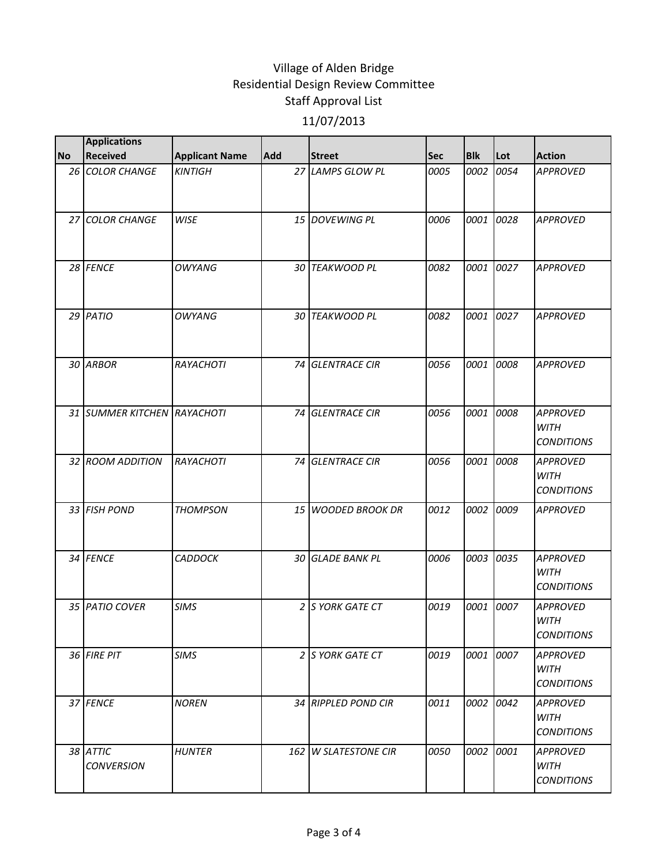|           | <b>Applications</b>           |                       |            |                      |            |            |      |                                                     |
|-----------|-------------------------------|-----------------------|------------|----------------------|------------|------------|------|-----------------------------------------------------|
| <b>No</b> | <b>Received</b>               | <b>Applicant Name</b> | <b>Add</b> | <b>Street</b>        | <b>Sec</b> | <b>Blk</b> | Lot  | <b>Action</b>                                       |
|           | 26 COLOR CHANGE               | <b>KINTIGH</b>        |            | 27 LAMPS GLOW PL     | 0005       | 0002       | 0054 | <b>APPROVED</b>                                     |
|           | 27 COLOR CHANGE               | <b>WISE</b>           |            | 15 DOVEWING PL       | 0006       | 0001       | 0028 | <b>APPROVED</b>                                     |
|           | 28 FENCE                      | <b>OWYANG</b>         |            | 30 TEAKWOOD PL       | 0082       | 0001       | 0027 | <b>APPROVED</b>                                     |
|           | 29 PATIO                      | OWYANG                |            | 30 TEAKWOOD PL       | 0082       | 0001       | 0027 | <b>APPROVED</b>                                     |
|           | 30 ARBOR                      | RAYACHOTI             |            | 74 GLENTRACE CIR     | 0056       | 0001       | 0008 | <b>APPROVED</b>                                     |
|           | 31 SUMMER KITCHEN RAYACHOTI   |                       |            | 74 GLENTRACE CIR     | 0056       | 0001       | 0008 | <b>APPROVED</b><br><b>WITH</b><br><b>CONDITIONS</b> |
|           | 32 ROOM ADDITION              | RAYACHOTI             | 74         | <b>GLENTRACE CIR</b> | 0056       | 0001       | 0008 | <b>APPROVED</b><br><b>WITH</b><br><b>CONDITIONS</b> |
|           | 33 FISH POND                  | <b>THOMPSON</b>       |            | 15 WOODED BROOK DR   | 0012       | 0002       | 0009 | <b>APPROVED</b>                                     |
|           | 34 FENCE                      | <b>CADDOCK</b>        |            | 30 GLADE BANK PL     | 0006       | 0003       | 0035 | <b>APPROVED</b><br><b>WITH</b><br><b>CONDITIONS</b> |
|           | 35 PATIO COVER                | <b>SIMS</b>           |            | 2 S YORK GATE CT     | 0019       | 0001       | 0007 | <b>APPROVED</b><br><b>WITH</b><br><b>CONDITIONS</b> |
|           | 36 FIRE PIT                   | <b>SIMS</b>           |            | 2 S YORK GATE CT     | 0019       | 0001       | 0007 | <b>APPROVED</b><br>WITH<br><i>CONDITIONS</i>        |
|           | 37 FENCE                      | <b>NOREN</b>          |            | 34 RIPPLED POND CIR  | 0011       | 0002       | 0042 | <b>APPROVED</b><br><b>WITH</b><br><b>CONDITIONS</b> |
|           | 38 ATTIC<br><b>CONVERSION</b> | <b>HUNTER</b>         |            | 162 W SLATESTONE CIR | 0050       | 0002       | 0001 | <b>APPROVED</b><br><b>WITH</b><br><b>CONDITIONS</b> |